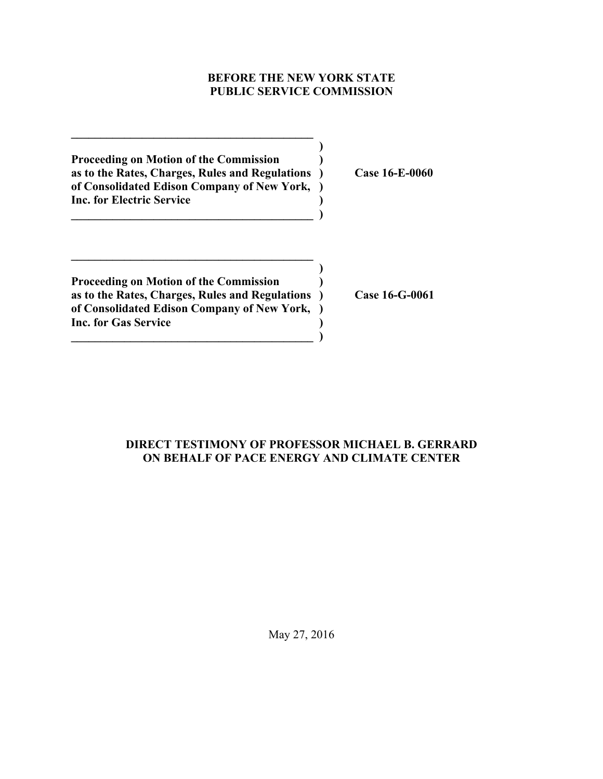## **BEFORE THE NEW YORK STATE PUBLIC SERVICE COMMISSION**

**)**

**)**

**Proceeding on Motion of the Commission ) as to the Rates, Charges, Rules and Regulations ) Case 16-E-0060 of Consolidated Edison Company of New York, ) Inc. for Electric Service )**

**\_\_\_\_\_\_\_\_\_\_\_\_\_\_\_\_\_\_\_\_\_\_\_\_\_\_\_\_\_\_\_\_\_\_\_\_\_\_\_\_\_ )**

**\_\_\_\_\_\_\_\_\_\_\_\_\_\_\_\_\_\_\_\_\_\_\_\_\_\_\_\_\_\_\_\_\_\_\_\_\_\_\_\_\_**

**Proceeding on Motion of the Commission ) as to the Rates, Charges, Rules and Regulations ) Case 16-G-0061 of Consolidated Edison Company of New York, ) Inc. for Gas Service ) \_\_\_\_\_\_\_\_\_\_\_\_\_\_\_\_\_\_\_\_\_\_\_\_\_\_\_\_\_\_\_\_\_\_\_\_\_\_\_\_\_ )**

**\_\_\_\_\_\_\_\_\_\_\_\_\_\_\_\_\_\_\_\_\_\_\_\_\_\_\_\_\_\_\_\_\_\_\_\_\_\_\_\_\_**

## **DIRECT TESTIMONY OF PROFESSOR MICHAEL B. GERRARD ON BEHALF OF PACE ENERGY AND CLIMATE CENTER**

May 27, 2016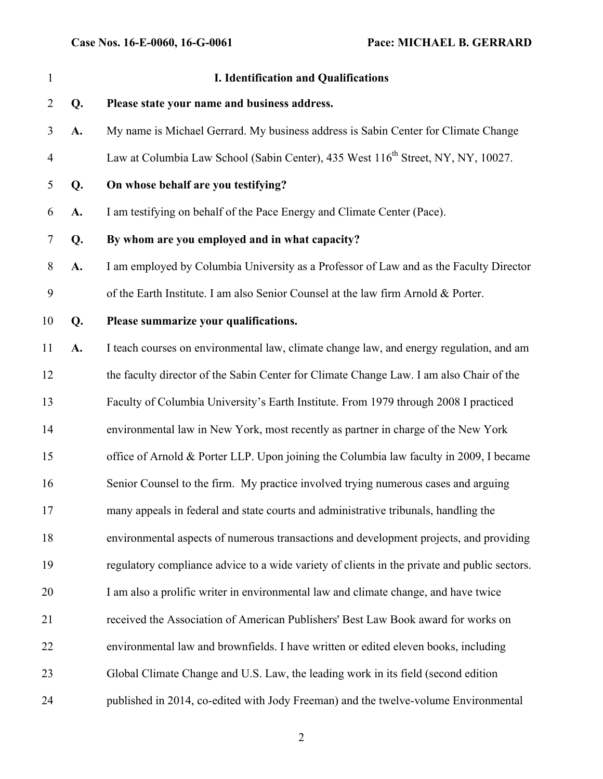| $\mathbf{1}$   |    | <b>I. Identification and Qualifications</b>                                                  |
|----------------|----|----------------------------------------------------------------------------------------------|
| $\overline{2}$ | Q. | Please state your name and business address.                                                 |
| 3              | A. | My name is Michael Gerrard. My business address is Sabin Center for Climate Change           |
| $\overline{4}$ |    | Law at Columbia Law School (Sabin Center), 435 West 116 <sup>th</sup> Street, NY, NY, 10027. |
| 5              | Q. | On whose behalf are you testifying?                                                          |
| 6              | A. | I am testifying on behalf of the Pace Energy and Climate Center (Pace).                      |
| $\overline{7}$ | Q. | By whom are you employed and in what capacity?                                               |
| 8              | A. | I am employed by Columbia University as a Professor of Law and as the Faculty Director       |
| 9              |    | of the Earth Institute. I am also Senior Counsel at the law firm Arnold & Porter.            |
| 10             | Q. | Please summarize your qualifications.                                                        |
| 11             | A. | I teach courses on environmental law, climate change law, and energy regulation, and am      |
| 12             |    | the faculty director of the Sabin Center for Climate Change Law. I am also Chair of the      |
| 13             |    | Faculty of Columbia University's Earth Institute. From 1979 through 2008 I practiced         |
| 14             |    | environmental law in New York, most recently as partner in charge of the New York            |
| 15             |    | office of Arnold & Porter LLP. Upon joining the Columbia law faculty in 2009, I became       |
| 16             |    | Senior Counsel to the firm. My practice involved trying numerous cases and arguing           |
| 17             |    | many appeals in federal and state courts and administrative tribunals, handling the          |
| 18             |    | environmental aspects of numerous transactions and development projects, and providing       |
| 19             |    | regulatory compliance advice to a wide variety of clients in the private and public sectors. |
| 20             |    | I am also a prolific writer in environmental law and climate change, and have twice          |
| 21             |    | received the Association of American Publishers' Best Law Book award for works on            |
| 22             |    | environmental law and brownfields. I have written or edited eleven books, including          |
| 23             |    | Global Climate Change and U.S. Law, the leading work in its field (second edition            |
| 24             |    | published in 2014, co-edited with Jody Freeman) and the twelve-volume Environmental          |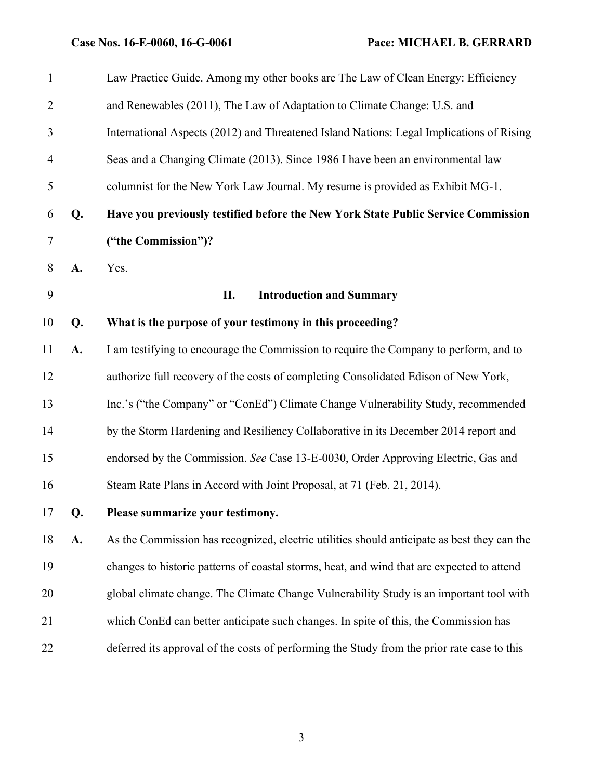|    | Law Practice Guide. Among my other books are The Law of Clean Energy: Efficiency            |
|----|---------------------------------------------------------------------------------------------|
|    | and Renewables (2011), The Law of Adaptation to Climate Change: U.S. and                    |
|    | International Aspects (2012) and Threatened Island Nations: Legal Implications of Rising    |
|    | Seas and a Changing Climate (2013). Since 1986 I have been an environmental law             |
|    | columnist for the New York Law Journal. My resume is provided as Exhibit MG-1.              |
| Q. | Have you previously testified before the New York State Public Service Commission           |
|    | ("the Commission")?                                                                         |
| A. | Yes.                                                                                        |
|    | <b>Introduction and Summary</b><br>П.                                                       |
| Q. | What is the purpose of your testimony in this proceeding?                                   |
| A. | I am testifying to encourage the Commission to require the Company to perform, and to       |
|    | authorize full recovery of the costs of completing Consolidated Edison of New York,         |
|    | Inc.'s ("the Company" or "ConEd") Climate Change Vulnerability Study, recommended           |
|    | by the Storm Hardening and Resiliency Collaborative in its December 2014 report and         |
|    | endorsed by the Commission. See Case 13-E-0030, Order Approving Electric, Gas and           |
|    | Steam Rate Plans in Accord with Joint Proposal, at 71 (Feb. 21, 2014).                      |
| Q. | Please summarize your testimony.                                                            |
| A. | As the Commission has recognized, electric utilities should anticipate as best they can the |
|    | changes to historic patterns of coastal storms, heat, and wind that are expected to attend  |
|    | global climate change. The Climate Change Vulnerability Study is an important tool with     |
|    | which ConEd can better anticipate such changes. In spite of this, the Commission has        |
|    | deferred its approval of the costs of performing the Study from the prior rate case to this |
|    |                                                                                             |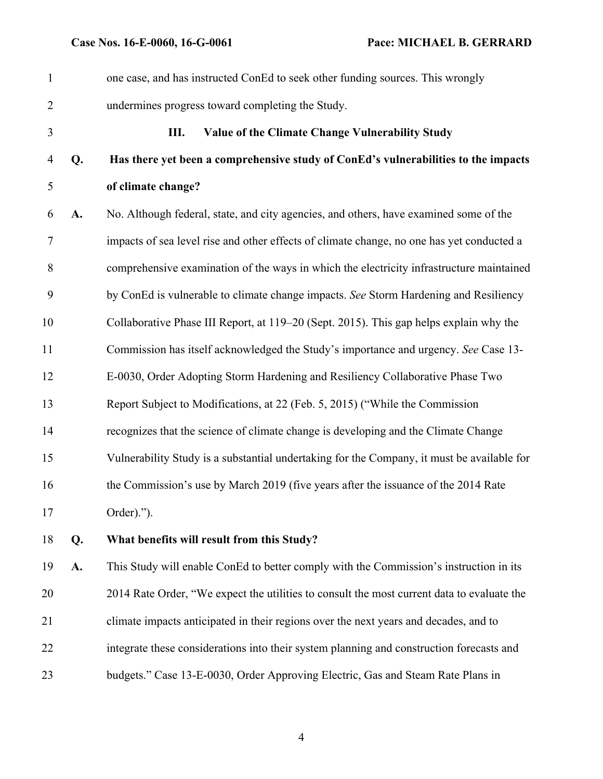| $\mathbf{1}$   |    | one case, and has instructed ConEd to seek other funding sources. This wrongly             |
|----------------|----|--------------------------------------------------------------------------------------------|
| $\overline{2}$ |    | undermines progress toward completing the Study.                                           |
| 3              |    | Ш.<br>Value of the Climate Change Vulnerability Study                                      |
| 4              | Q. | Has there yet been a comprehensive study of ConEd's vulnerabilities to the impacts         |
| 5              |    | of climate change?                                                                         |
| 6              | A. | No. Although federal, state, and city agencies, and others, have examined some of the      |
| 7              |    | impacts of sea level rise and other effects of climate change, no one has yet conducted a  |
| 8              |    | comprehensive examination of the ways in which the electricity infrastructure maintained   |
| 9              |    | by ConEd is vulnerable to climate change impacts. See Storm Hardening and Resiliency       |
| 10             |    | Collaborative Phase III Report, at 119–20 (Sept. 2015). This gap helps explain why the     |
| 11             |    | Commission has itself acknowledged the Study's importance and urgency. See Case 13-        |
| 12             |    | E-0030, Order Adopting Storm Hardening and Resiliency Collaborative Phase Two              |
| 13             |    | Report Subject to Modifications, at 22 (Feb. 5, 2015) ("While the Commission               |
| 14             |    | recognizes that the science of climate change is developing and the Climate Change         |
| 15             |    | Vulnerability Study is a substantial undertaking for the Company, it must be available for |
| 16             |    | the Commission's use by March 2019 (five years after the issuance of the 2014 Rate         |
| 17             |    | Order).").                                                                                 |
| 18             | Q. | What benefits will result from this Study?                                                 |
| 19             | A. | This Study will enable ConEd to better comply with the Commission's instruction in its     |
| 20             |    | 2014 Rate Order, "We expect the utilities to consult the most current data to evaluate the |
| 21             |    | climate impacts anticipated in their regions over the next years and decades, and to       |
|                |    |                                                                                            |

budgets." Case 13-E-0030, Order Approving Electric, Gas and Steam Rate Plans in

integrate these considerations into their system planning and construction forecasts and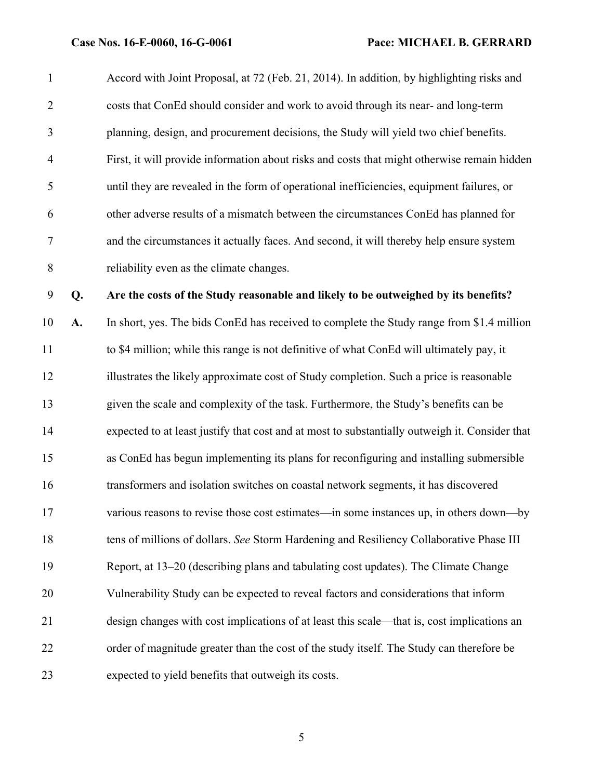Accord with Joint Proposal, at 72 (Feb. 21, 2014). In addition, by highlighting risks and costs that ConEd should consider and work to avoid through its near- and long-term planning, design, and procurement decisions, the Study will yield two chief benefits. First, it will provide information about risks and costs that might otherwise remain hidden until they are revealed in the form of operational inefficiencies, equipment failures, or other adverse results of a mismatch between the circumstances ConEd has planned for and the circumstances it actually faces. And second, it will thereby help ensure system reliability even as the climate changes.

**Q. Are the costs of the Study reasonable and likely to be outweighed by its benefits?** 

 **A.** In short, yes. The bids ConEd has received to complete the Study range from \$1.4 million to \$4 million; while this range is not definitive of what ConEd will ultimately pay, it illustrates the likely approximate cost of Study completion. Such a price is reasonable given the scale and complexity of the task. Furthermore, the Study's benefits can be expected to at least justify that cost and at most to substantially outweigh it. Consider that as ConEd has begun implementing its plans for reconfiguring and installing submersible transformers and isolation switches on coastal network segments, it has discovered various reasons to revise those cost estimates—in some instances up, in others down—by tens of millions of dollars. *See* Storm Hardening and Resiliency Collaborative Phase III Report, at 13–20 (describing plans and tabulating cost updates). The Climate Change Vulnerability Study can be expected to reveal factors and considerations that inform design changes with cost implications of at least this scale—that is, cost implications an order of magnitude greater than the cost of the study itself. The Study can therefore be expected to yield benefits that outweigh its costs.